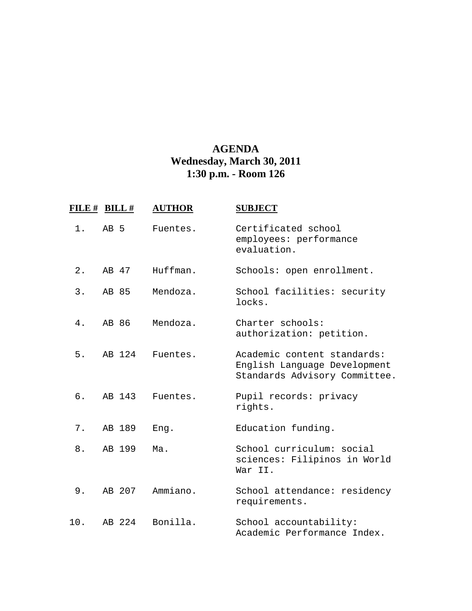## **AGENDA Wednesday, March 30, 2011 1:30 p.m. - Room 126**

| FILE # BILL # |       |        | <b>AUTHOR</b> | <b>SUBJECT</b>                                                                               |
|---------------|-------|--------|---------------|----------------------------------------------------------------------------------------------|
| 1.            | AB 5  |        | Fuentes.      | Certificated school<br>employees: performance<br>evaluation.                                 |
| $2$ .         | AB 47 |        | Huffman.      | Schools: open enrollment.                                                                    |
| 3.            | AB 85 |        | Mendoza.      | School facilities: security<br>locks.                                                        |
| 4.            | AB 86 |        | Mendoza.      | Charter schools:<br>authorization: petition.                                                 |
| 5.            |       | AB 124 | Fuentes.      | Academic content standards:<br>English Language Development<br>Standards Advisory Committee. |
| б.            |       | AB 143 | Fuentes.      | Pupil records: privacy<br>rights.                                                            |
| $7$ .         |       | AB 189 | Eng.          | Education funding.                                                                           |
| 8.            |       | AB 199 | Ma.           | School curriculum: social<br>sciences: Filipinos in World<br>War II.                         |
| 9.            |       | AB 207 | Ammiano.      | School attendance: residency<br>requirements.                                                |
| 10.           |       | AB 224 | Bonilla.      | School accountability:<br>Academic Performance Index.                                        |